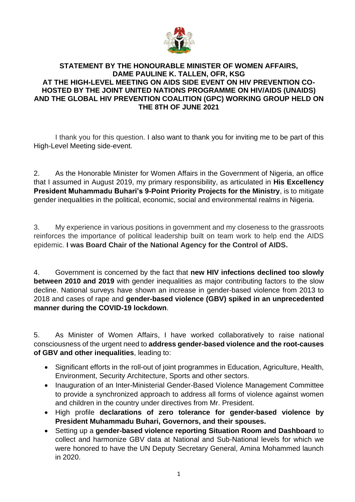

## **STATEMENT BY THE HONOURABLE MINISTER OF WOMEN AFFAIRS, DAME PAULINE K. TALLEN, OFR, KSG AT THE HIGH-LEVEL MEETING ON AIDS SIDE EVENT ON HIV PREVENTION CO-HOSTED BY THE JOINT UNITED NATIONS PROGRAMME ON HIV/AIDS (UNAIDS) AND THE GLOBAL HIV PREVENTION COALITION (GPC) WORKING GROUP HELD ON THE 8TH OF JUNE 2021**

I thank you for this question. I also want to thank you for inviting me to be part of this High-Level Meeting side-event.

2. As the Honorable Minister for Women Affairs in the Government of Nigeria, an office that I assumed in August 2019, my primary responsibility, as articulated in **His Excellency President Muhammadu Buhari's 9-Point Priority Projects for the Ministry**, is to mitigate gender inequalities in the political, economic, social and environmental realms in Nigeria.

3. My experience in various positions in government and my closeness to the grassroots reinforces the importance of political leadership built on team work to help end the AIDS epidemic. **I was Board Chair of the National Agency for the Control of AIDS.**

4. Government is concerned by the fact that **new HIV infections declined too slowly between 2010 and 2019** with gender inequalities as major contributing factors to the slow decline. National surveys have shown an increase in gender-based violence from 2013 to 2018 and cases of rape and **gender-based violence (GBV) spiked in an unprecedented manner during the COVID-19 lockdown**.

5. As Minister of Women Affairs, I have worked collaboratively to raise national consciousness of the urgent need to **address gender-based violence and the root-causes of GBV and other inequalities**, leading to:

- Significant efforts in the roll-out of joint programmes in Education, Agriculture, Health, Environment, Security Architecture, Sports and other sectors.
- Inauguration of an Inter-Ministerial Gender-Based Violence Management Committee to provide a synchronized approach to address all forms of violence against women and children in the country under directives from Mr. President.
- High profile **declarations of zero tolerance for gender-based violence by President Muhammadu Buhari, Governors, and their spouses.**
- Setting up a **gender-based violence reporting Situation Room and Dashboard** to collect and harmonize GBV data at National and Sub-National levels for which we were honored to have the UN Deputy Secretary General, Amina Mohammed launch in 2020.